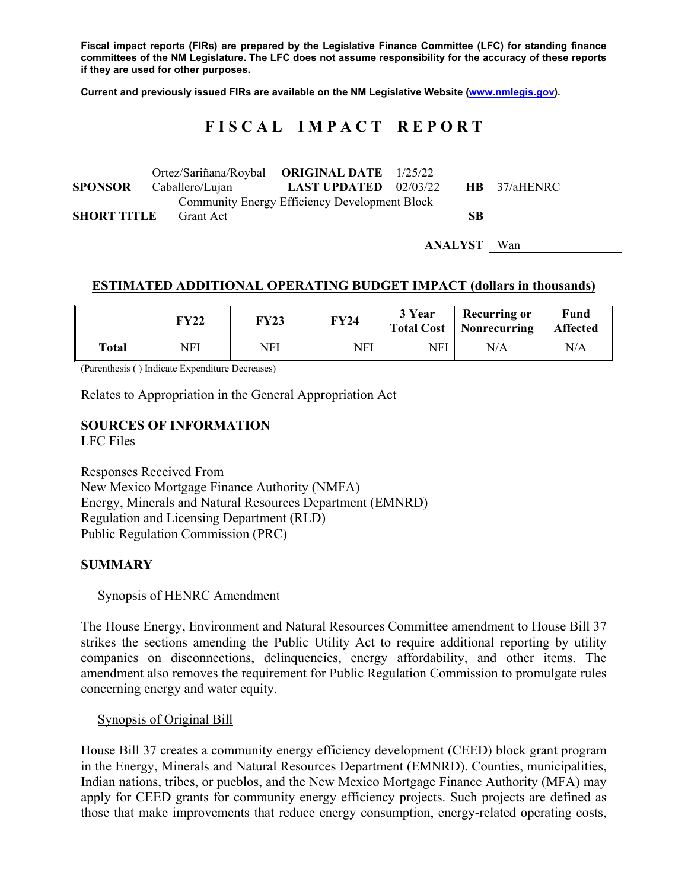**Fiscal impact reports (FIRs) are prepared by the Legislative Finance Committee (LFC) for standing finance committees of the NM Legislature. The LFC does not assume responsibility for the accuracy of these reports if they are used for other purposes.** 

**Current and previously issued FIRs are available on the NM Legislative Website (www.nmlegis.gov).** 

# **F I S C A L I M P A C T R E P O R T**

|                    | Ortez/Sariñana/Roybal ORIGINAL DATE 1/25/22          |                                |  |    |                     |
|--------------------|------------------------------------------------------|--------------------------------|--|----|---------------------|
| <b>SPONSOR</b>     | Caballero/Lujan                                      | <b>LAST UPDATED</b> $02/03/22$ |  |    | <b>HB</b> 37/aHENRC |
|                    | <b>Community Energy Efficiency Development Block</b> |                                |  |    |                     |
| <b>SHORT TITLE</b> | Grant Act                                            |                                |  | SB |                     |
|                    |                                                      |                                |  |    |                     |

**ANALYST** Wan

## **ESTIMATED ADDITIONAL OPERATING BUDGET IMPACT (dollars in thousands)**

|       | FY22 | <b>FY23</b> | FY24 | 3 Year | <b>Recurring or</b><br>Total Cost   Nonrecurring | Fund<br><b>Affected</b> |
|-------|------|-------------|------|--------|--------------------------------------------------|-------------------------|
| Total | NFI  | NFI         | NFI  | NFI    | N/A                                              | N/A                     |

(Parenthesis ( ) Indicate Expenditure Decreases)

Relates to Appropriation in the General Appropriation Act

# **SOURCES OF INFORMATION**

LFC Files

Responses Received From New Mexico Mortgage Finance Authority (NMFA) Energy, Minerals and Natural Resources Department (EMNRD) Regulation and Licensing Department (RLD) Public Regulation Commission (PRC)

#### **SUMMARY**

#### Synopsis of HENRC Amendment

The House Energy, Environment and Natural Resources Committee amendment to House Bill 37 strikes the sections amending the Public Utility Act to require additional reporting by utility companies on disconnections, delinquencies, energy affordability, and other items. The amendment also removes the requirement for Public Regulation Commission to promulgate rules concerning energy and water equity.

Synopsis of Original Bill

House Bill 37 creates a community energy efficiency development (CEED) block grant program in the Energy, Minerals and Natural Resources Department (EMNRD). Counties, municipalities, Indian nations, tribes, or pueblos, and the New Mexico Mortgage Finance Authority (MFA) may apply for CEED grants for community energy efficiency projects. Such projects are defined as those that make improvements that reduce energy consumption, energy-related operating costs,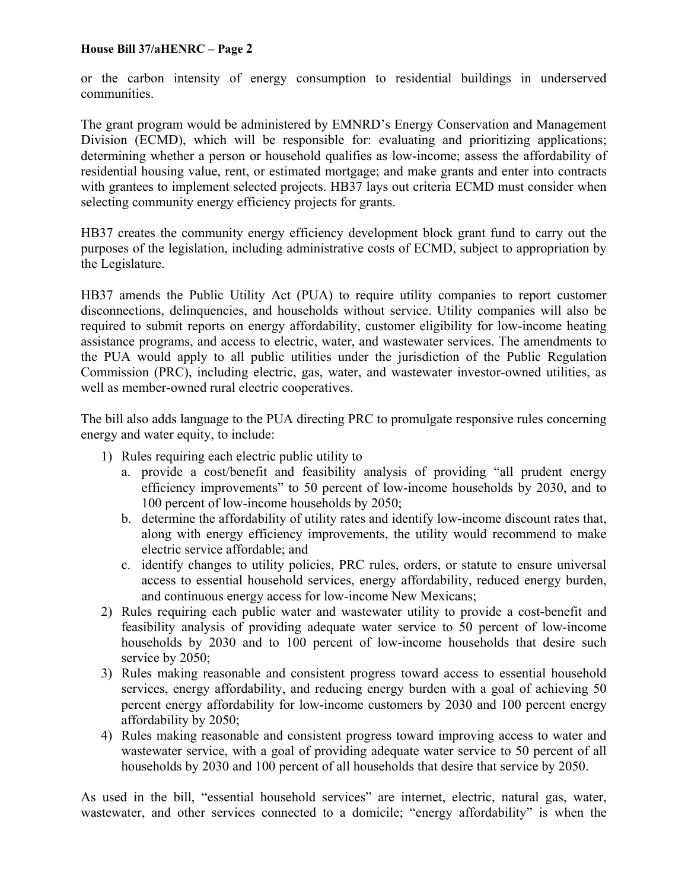#### **House Bill 37/aHENRC – Page 2**

or the carbon intensity of energy consumption to residential buildings in underserved communities.

The grant program would be administered by EMNRD's Energy Conservation and Management Division (ECMD), which will be responsible for: evaluating and prioritizing applications; determining whether a person or household qualifies as low-income; assess the affordability of residential housing value, rent, or estimated mortgage; and make grants and enter into contracts with grantees to implement selected projects. HB37 lays out criteria ECMD must consider when selecting community energy efficiency projects for grants.

HB37 creates the community energy efficiency development block grant fund to carry out the purposes of the legislation, including administrative costs of ECMD, subject to appropriation by the Legislature.

HB37 amends the Public Utility Act (PUA) to require utility companies to report customer disconnections, delinquencies, and households without service. Utility companies will also be required to submit reports on energy affordability, customer eligibility for low-income heating assistance programs, and access to electric, water, and wastewater services. The amendments to the PUA would apply to all public utilities under the jurisdiction of the Public Regulation Commission (PRC), including electric, gas, water, and wastewater investor-owned utilities, as well as member-owned rural electric cooperatives.

The bill also adds language to the PUA directing PRC to promulgate responsive rules concerning energy and water equity, to include:

- 1) Rules requiring each electric public utility to
	- a. provide a cost/benefit and feasibility analysis of providing "all prudent energy efficiency improvements" to 50 percent of low-income households by 2030, and to 100 percent of low-income households by 2050;
	- b. determine the affordability of utility rates and identify low-income discount rates that, along with energy efficiency improvements, the utility would recommend to make electric service affordable; and
	- c. identify changes to utility policies, PRC rules, orders, or statute to ensure universal access to essential household services, energy affordability, reduced energy burden, and continuous energy access for low-income New Mexicans;
- 2) Rules requiring each public water and wastewater utility to provide a cost-benefit and feasibility analysis of providing adequate water service to 50 percent of low-income households by 2030 and to 100 percent of low-income households that desire such service by 2050;
- 3) Rules making reasonable and consistent progress toward access to essential household services, energy affordability, and reducing energy burden with a goal of achieving 50 percent energy affordability for low-income customers by 2030 and 100 percent energy affordability by 2050;
- 4) Rules making reasonable and consistent progress toward improving access to water and wastewater service, with a goal of providing adequate water service to 50 percent of all households by 2030 and 100 percent of all households that desire that service by 2050.

As used in the bill, "essential household services" are internet, electric, natural gas, water, wastewater, and other services connected to a domicile; "energy affordability" is when the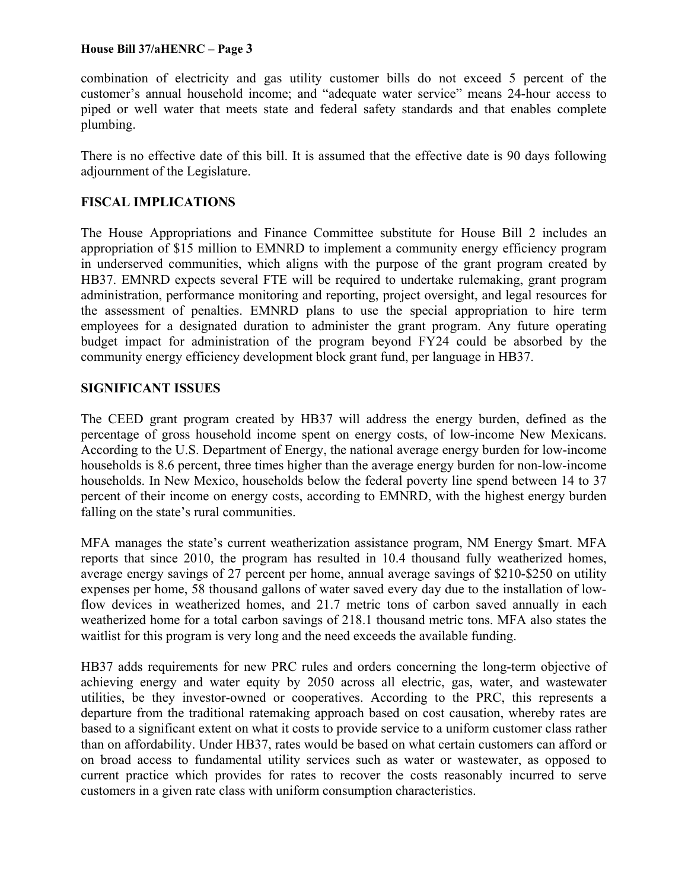#### **House Bill 37/aHENRC – Page 3**

combination of electricity and gas utility customer bills do not exceed 5 percent of the customer's annual household income; and "adequate water service" means 24-hour access to piped or well water that meets state and federal safety standards and that enables complete plumbing.

There is no effective date of this bill. It is assumed that the effective date is 90 days following adjournment of the Legislature.

### **FISCAL IMPLICATIONS**

The House Appropriations and Finance Committee substitute for House Bill 2 includes an appropriation of \$15 million to EMNRD to implement a community energy efficiency program in underserved communities, which aligns with the purpose of the grant program created by HB37. EMNRD expects several FTE will be required to undertake rulemaking, grant program administration, performance monitoring and reporting, project oversight, and legal resources for the assessment of penalties. EMNRD plans to use the special appropriation to hire term employees for a designated duration to administer the grant program. Any future operating budget impact for administration of the program beyond FY24 could be absorbed by the community energy efficiency development block grant fund, per language in HB37.

#### **SIGNIFICANT ISSUES**

The CEED grant program created by HB37 will address the energy burden, defined as the percentage of gross household income spent on energy costs, of low-income New Mexicans. According to the U.S. Department of Energy, the national average energy burden for low-income households is 8.6 percent, three times higher than the average energy burden for non-low-income households. In New Mexico, households below the federal poverty line spend between 14 to 37 percent of their income on energy costs, according to EMNRD, with the highest energy burden falling on the state's rural communities.

MFA manages the state's current weatherization assistance program, NM Energy \$mart. MFA reports that since 2010, the program has resulted in 10.4 thousand fully weatherized homes, average energy savings of 27 percent per home, annual average savings of \$210-\$250 on utility expenses per home, 58 thousand gallons of water saved every day due to the installation of lowflow devices in weatherized homes, and 21.7 metric tons of carbon saved annually in each weatherized home for a total carbon savings of 218.1 thousand metric tons. MFA also states the waitlist for this program is very long and the need exceeds the available funding.

HB37 adds requirements for new PRC rules and orders concerning the long-term objective of achieving energy and water equity by 2050 across all electric, gas, water, and wastewater utilities, be they investor-owned or cooperatives. According to the PRC, this represents a departure from the traditional ratemaking approach based on cost causation, whereby rates are based to a significant extent on what it costs to provide service to a uniform customer class rather than on affordability. Under HB37, rates would be based on what certain customers can afford or on broad access to fundamental utility services such as water or wastewater, as opposed to current practice which provides for rates to recover the costs reasonably incurred to serve customers in a given rate class with uniform consumption characteristics.